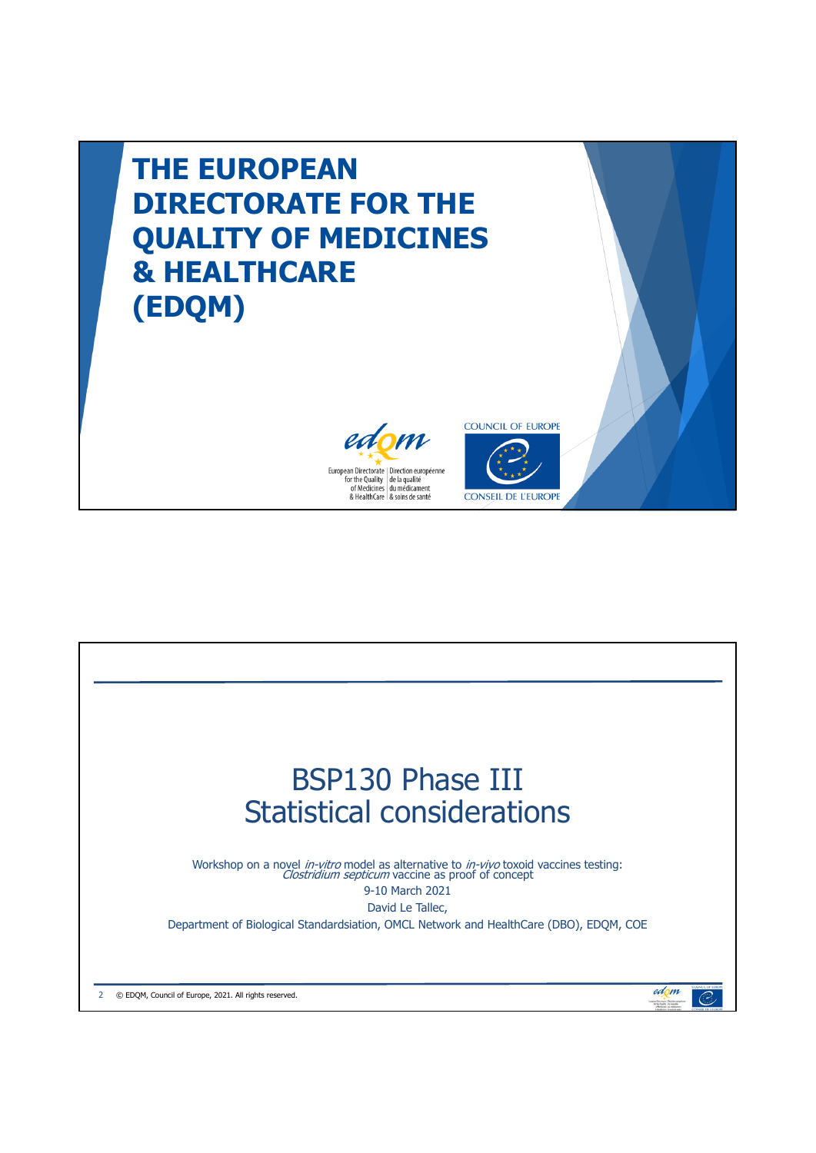

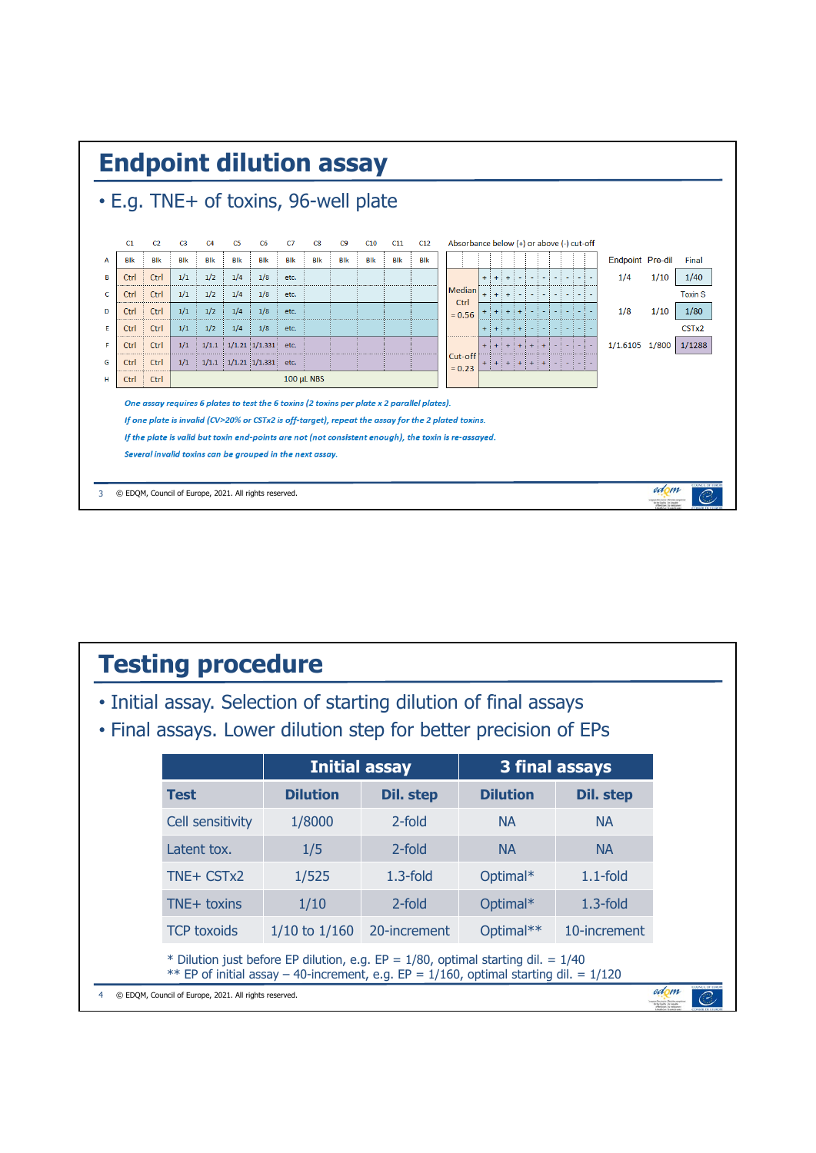

## **Testing procedure** • Initial assay. Selection of starting dilution of final assays • Final assays. Lower dilution step for better precision of EPs **Initial assay 3 final assays** Test **Dilution** Dil. step Dilution Dil. step Cell sensitivity  $1/8000$  2-fold NA NA Latent tox.  $1/5$  2-fold NA NA TNE+ CSTx2 1/525 1.3-fold Optimal\* 1.1-fold TNE+ toxins 1/10 2-fold Optimal\* 1.3-fold TCP toxoids 1/10 to 1/160 20-increment Optimal\*\* 10-increment\* Dilution just before EP dilution, e.g. EP =  $1/80$ , optimal starting dil. =  $1/40$ \*\* EP of initial assay – 40-increment, e.g. EP =  $1/160$ , optimal starting dil. =  $1/120$ edom 4 © EDQM, Council of Europe, 2021. All rights reserved.  $\overline{\mathcal{C}}$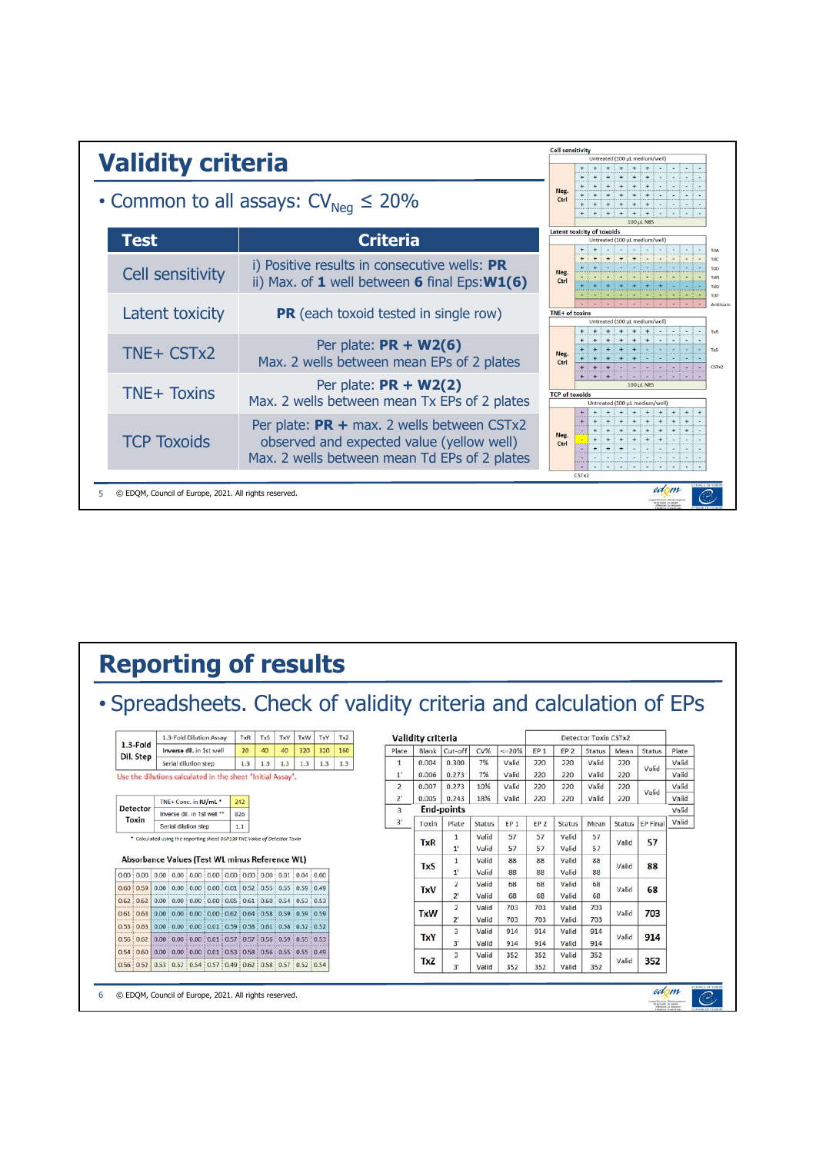

## **Reporting of results**

 $\mathbb{C}$ 

| $1.3$ -Fold<br>Dil. Step                                   |                                                      | 1.3-Fold Dilution Assay                                                   |                                                                                                  |     | TxR | TxS                    | TxV   | TxW   | TxY | TxZ   | <b>Validity criteria</b> |                |            |                               |                |                 |                 | Detector Toxin CSTx2 |               |        |                 |       |
|------------------------------------------------------------|------------------------------------------------------|---------------------------------------------------------------------------|--------------------------------------------------------------------------------------------------|-----|-----|------------------------|-------|-------|-----|-------|--------------------------|----------------|------------|-------------------------------|----------------|-----------------|-----------------|----------------------|---------------|--------|-----------------|-------|
|                                                            |                                                      |                                                                           | Inverse dil. in 1st well                                                                         |     |     | 20                     | 40    | 40    | 320 | 320   | 160                      | Plate          | Blank      | Cut-off                       | CV%            | $\leq 20\%$     | EP <sub>1</sub> | EP <sub>2</sub>      | <b>Status</b> | Mean   | Status          | Plate |
|                                                            |                                                      | Serial dilution step                                                      |                                                                                                  |     | 1.3 | 1.3                    | 1.3   | 1.3   | 1.3 | 1.3   | $\mathbf{1}$             | 0.004          | 0.300      | 7%                            | Valid          | 220             | 220             | Valid                | 220           | Valid  | Valid           |       |
| Use the dilutions calculated in the sheet "Initial Assay". |                                                      |                                                                           |                                                                                                  |     |     | 1 <sup>1</sup>         | 0.006 | 0.273 | 7%  | Valid | 220                      | 220            | Valid      | 220                           |                |                 |                 |                      |               |        |                 |       |
|                                                            |                                                      |                                                                           |                                                                                                  |     |     |                        |       |       |     |       |                          | $\overline{2}$ | 0.007      | 0.273                         | 10%            | Valid           | 220             | 220                  | Valid         | 220    | Valid           |       |
| <b>Detector</b><br><b>Toxin</b>                            | TNE+ Conc. in IU/mL *<br>Inverse dil. in 1st well ** |                                                                           |                                                                                                  | 242 |     |                        |       |       |     |       | $2^{\circ}$              | 0.005          | 0.243      | 18%                           | Valid          | 220             | 220             | Valid                | 220           |        |                 |       |
|                                                            |                                                      |                                                                           |                                                                                                  | 826 |     | <b>End-points</b><br>3 |       |       |     |       |                          |                |            |                               |                |                 |                 |                      |               |        |                 |       |
|                                                            |                                                      | Serial dilution step                                                      |                                                                                                  |     | 1.1 |                        |       |       |     |       |                          | 3'             | Toxin      | Plate                         | <b>Status</b>  | EP <sub>1</sub> | EP <sub>2</sub> | Status               | Mean          | Status | <b>EP Final</b> |       |
|                                                            |                                                      |                                                                           |                                                                                                  |     |     |                        |       |       |     |       |                          |                | <b>TxR</b> | 1                             | Valid          | 57              | 57              | Valid                | 57            | Valid  | 57              |       |
|                                                            |                                                      | * Calculated using the reporting sheet BSP130 TNE Value of Detector Toxin |                                                                                                  |     |     |                        |       |       |     |       |                          |                |            | 1 <sup>1</sup>                | Valid          | 57              | 57              | Valid                | 57            |        |                 |       |
|                                                            |                                                      |                                                                           | Absorbance Values (Test WL minus Reference WL)                                                   |     |     |                        |       |       |     |       |                          |                | <b>TxS</b> | 1                             | Valid          | 88              | 88              | Valid                | 88            | Valid  | 88              |       |
|                                                            |                                                      |                                                                           |                                                                                                  |     |     |                        |       |       |     |       |                          |                |            | 1'                            | Valid          | 88              | 88              | Valid                | 88            |        |                 |       |
|                                                            |                                                      |                                                                           | $0.60:0.59:0.00:0.00:0.00:0.00:0.01:0.52:0.55:0.55:0.59:0.49$                                    |     |     |                        |       |       |     |       |                          |                | TxV        | $\overline{2}$                | Valid          | 68              | 68              | Valid                | 68            | Valid  | 68              |       |
| 0.62:0.62                                                  |                                                      |                                                                           | $0.00 \div 0.00 \div 0.00 \div 0.00 \div 0.05 \div 0.61 \div 0.60 \div 0.54 \div 0.53 \div 0.53$ |     |     |                        |       |       |     |       |                          |                |            | 2'                            | Valid<br>Valid | 68<br>703       | 68<br>703       | Valid<br>Valid       | 68<br>703     |        |                 |       |
| 0.61 : 0.63                                                |                                                      |                                                                           | $0.00$ : $0.00$ : $0.00$ : $0.00$ : $0.62$ : $0.64$ : $0.58$ : $0.59$ : $0.59$ : $0.59$          |     |     |                        |       |       |     |       |                          |                | <b>TxW</b> | $\overline{2}$<br>$2^{\circ}$ | Valid          | 703             | 703             | Valid                | 703           | Valid  | 703             |       |
| $0.53 \div 0.63$                                           |                                                      |                                                                           | $0.00 \div 0.00 \div 0.00 \div 0.01 \div 0.59 \div 0.58 \div 0.51 \div 0.58 \div 0.52 \div 0.52$ |     |     |                        |       |       |     |       |                          |                |            | 3                             | Valid          | 914             | 914             | Valid                | 914           |        |                 |       |
| $0.56 \div 0.62$                                           |                                                      |                                                                           | $0.00: 0.00: 0.00: 0.01: 0.57: 0.57: 0.56: 0.59: 0.55: 0.53$                                     |     |     |                        |       |       |     |       |                          |                | <b>TxY</b> | 3'                            | Valid          | 914             | 914             | Valid                | 914           | Valid  | 914             |       |
|                                                            |                                                      |                                                                           | $0.54:0.60$ $0.00:0.00:0.00:0.01:0.53:0.58:0.56:0.55:0.55:0.49$                                  |     |     |                        |       |       |     |       |                          |                | TxZ        | 3                             | Valid          | 352             | 352             | Valid                | 352           | Valid  | 352             |       |